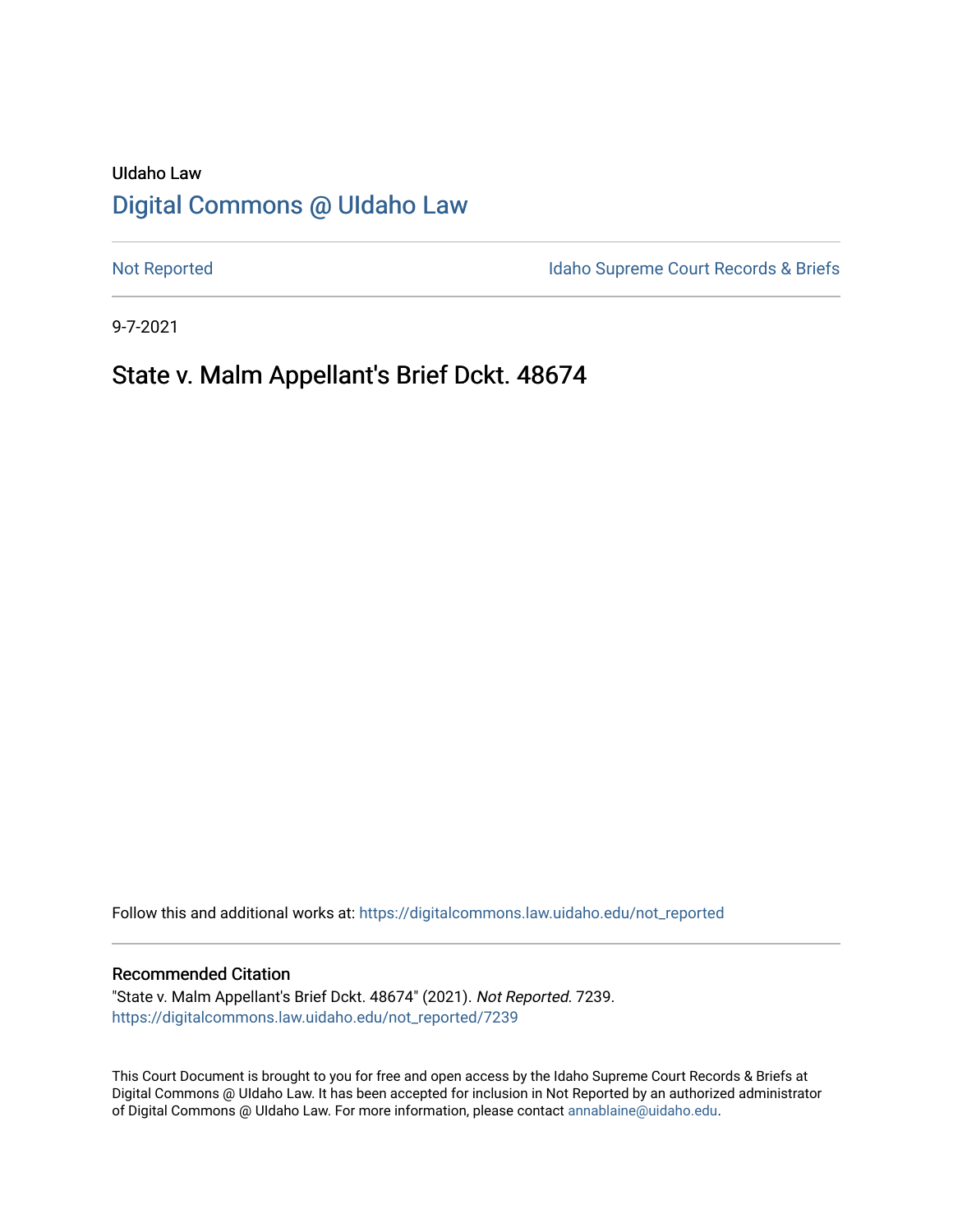# UIdaho Law [Digital Commons @ UIdaho Law](https://digitalcommons.law.uidaho.edu/)

[Not Reported](https://digitalcommons.law.uidaho.edu/not_reported) **Idaho Supreme Court Records & Briefs** 

9-7-2021

# State v. Malm Appellant's Brief Dckt. 48674

Follow this and additional works at: [https://digitalcommons.law.uidaho.edu/not\\_reported](https://digitalcommons.law.uidaho.edu/not_reported?utm_source=digitalcommons.law.uidaho.edu%2Fnot_reported%2F7239&utm_medium=PDF&utm_campaign=PDFCoverPages) 

#### Recommended Citation

"State v. Malm Appellant's Brief Dckt. 48674" (2021). Not Reported. 7239. [https://digitalcommons.law.uidaho.edu/not\\_reported/7239](https://digitalcommons.law.uidaho.edu/not_reported/7239?utm_source=digitalcommons.law.uidaho.edu%2Fnot_reported%2F7239&utm_medium=PDF&utm_campaign=PDFCoverPages)

This Court Document is brought to you for free and open access by the Idaho Supreme Court Records & Briefs at Digital Commons @ UIdaho Law. It has been accepted for inclusion in Not Reported by an authorized administrator of Digital Commons @ UIdaho Law. For more information, please contact [annablaine@uidaho.edu](mailto:annablaine@uidaho.edu).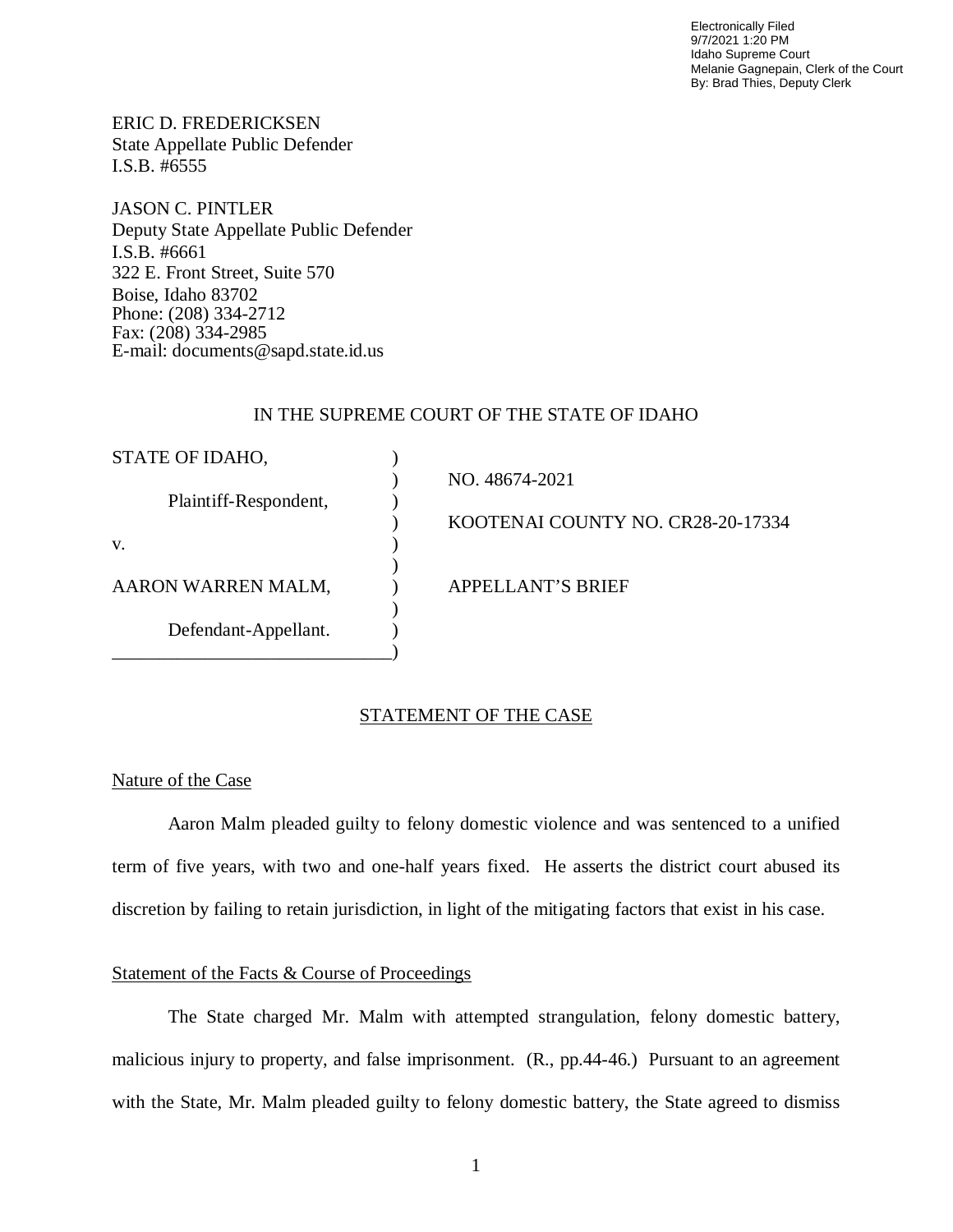Electronically Filed 9/7/2021 1:20 PM Idaho Supreme Court Melanie Gagnepain, Clerk of the Court By: Brad Thies, Deputy Clerk

ERIC D. FREDERICKSEN State Appellate Public Defender I.S.B. #6555

JASON C. PINTLER Deputy State Appellate Public Defender I.S.B. #6661 322 E. Front Street, Suite 570 Boise, Idaho 83702 Phone: (208) 334-2712 Fax: (208) 334-2985 E-mail: documents@sapd.state.id.us

### IN THE SUPREME COURT OF THE STATE OF IDAHO

| STATE OF IDAHO,       |                                   |
|-----------------------|-----------------------------------|
| Plaintiff-Respondent, | NO. 48674-2021                    |
|                       | KOOTENAI COUNTY NO. CR28-20-17334 |
| V.                    |                                   |
| AARON WARREN MALM,    | <b>APPELLANT'S BRIEF</b>          |
| Defendant-Appellant.  |                                   |
|                       |                                   |

#### STATEMENT OF THE CASE

#### Nature of the Case

Aaron Malm pleaded guilty to felony domestic violence and was sentenced to a unified term of five years, with two and one-half years fixed. He asserts the district court abused its discretion by failing to retain jurisdiction, in light of the mitigating factors that exist in his case.

## Statement of the Facts & Course of Proceedings

The State charged Mr. Malm with attempted strangulation, felony domestic battery, malicious injury to property, and false imprisonment. (R., pp.44-46.) Pursuant to an agreement with the State, Mr. Malm pleaded guilty to felony domestic battery, the State agreed to dismiss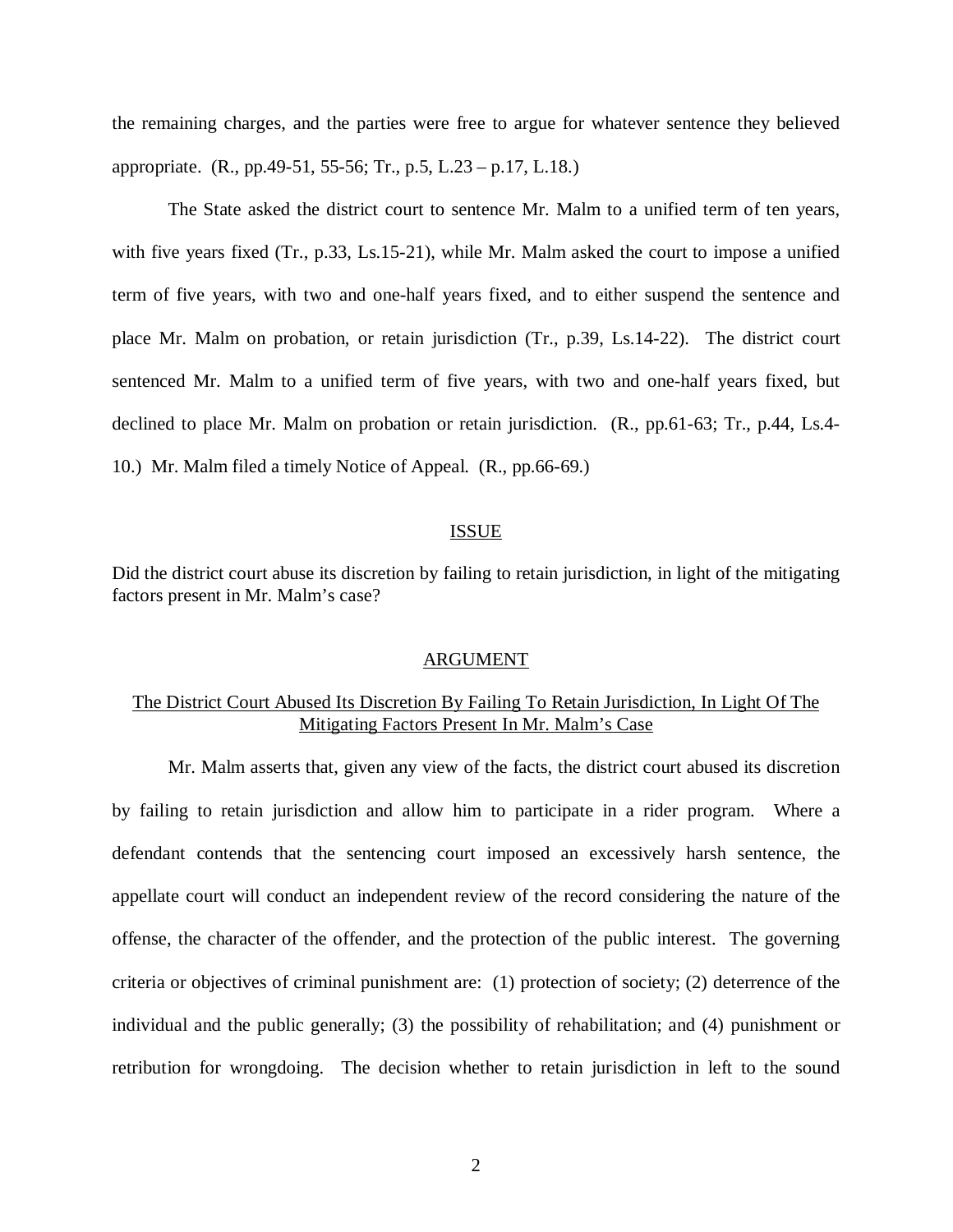the remaining charges, and the parties were free to argue for whatever sentence they believed appropriate. (R., pp.49-51, 55-56; Tr., p.5, L.23 – p.17, L.18.)

The State asked the district court to sentence Mr. Malm to a unified term of ten years, with five years fixed (Tr., p.33, Ls.15-21), while Mr. Malm asked the court to impose a unified term of five years, with two and one-half years fixed, and to either suspend the sentence and place Mr. Malm on probation, or retain jurisdiction (Tr., p.39, Ls.14-22). The district court sentenced Mr. Malm to a unified term of five years, with two and one-half years fixed, but declined to place Mr. Malm on probation or retain jurisdiction. (R., pp.61-63; Tr., p.44, Ls.4- 10.) Mr. Malm filed a timely Notice of Appeal. (R., pp.66-69.)

#### ISSUE

Did the district court abuse its discretion by failing to retain jurisdiction, in light of the mitigating factors present in Mr. Malm's case?

#### ARGUMENT

## The District Court Abused Its Discretion By Failing To Retain Jurisdiction, In Light Of The Mitigating Factors Present In Mr. Malm's Case

Mr. Malm asserts that, given any view of the facts, the district court abused its discretion by failing to retain jurisdiction and allow him to participate in a rider program. Where a defendant contends that the sentencing court imposed an excessively harsh sentence, the appellate court will conduct an independent review of the record considering the nature of the offense, the character of the offender, and the protection of the public interest. The governing criteria or objectives of criminal punishment are: (1) protection of society; (2) deterrence of the individual and the public generally; (3) the possibility of rehabilitation; and (4) punishment or retribution for wrongdoing. The decision whether to retain jurisdiction in left to the sound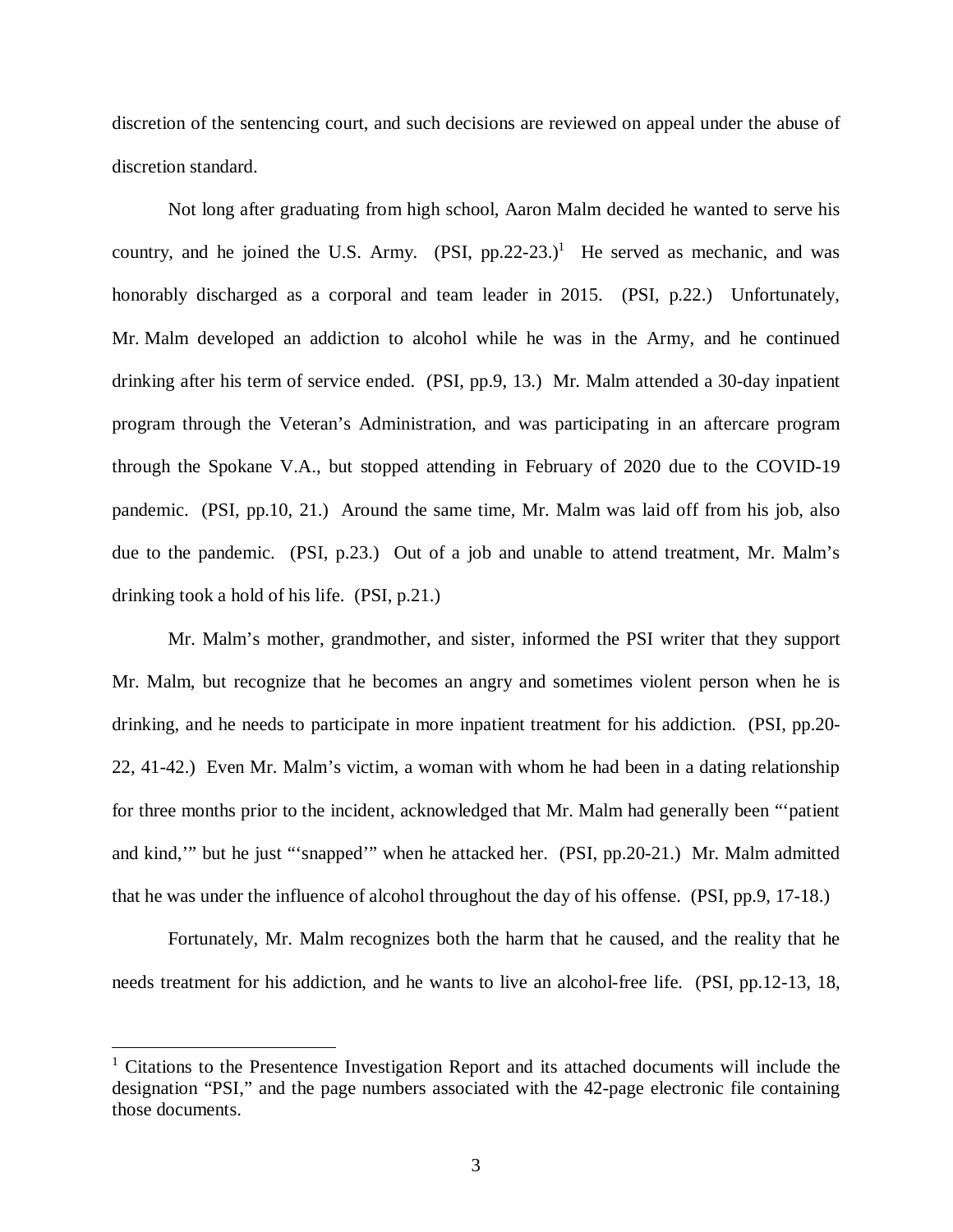discretion of the sentencing court, and such decisions are reviewed on appeal under the abuse of discretion standard.

Not long after graduating from high school, Aaron Malm decided he wanted to serve his country, and he joined the U.S. Army.  $(PSI, pp.22-23.)^1$  $(PSI, pp.22-23.)^1$  He served as mechanic, and was honorably discharged as a corporal and team leader in 2015. (PSI, p.22.) Unfortunately, Mr. Malm developed an addiction to alcohol while he was in the Army, and he continued drinking after his term of service ended. (PSI, pp.9, 13.) Mr. Malm attended a 30-day inpatient program through the Veteran's Administration, and was participating in an aftercare program through the Spokane V.A., but stopped attending in February of 2020 due to the COVID-19 pandemic. (PSI, pp.10, 21.) Around the same time, Mr. Malm was laid off from his job, also due to the pandemic. (PSI, p.23.) Out of a job and unable to attend treatment, Mr. Malm's drinking took a hold of his life. (PSI, p.21.)

Mr. Malm's mother, grandmother, and sister, informed the PSI writer that they support Mr. Malm, but recognize that he becomes an angry and sometimes violent person when he is drinking, and he needs to participate in more inpatient treatment for his addiction. (PSI, pp.20- 22, 41-42.) Even Mr. Malm's victim, a woman with whom he had been in a dating relationship for three months prior to the incident, acknowledged that Mr. Malm had generally been "'patient and kind,'" but he just "'snapped'" when he attacked her. (PSI, pp.20-21.) Mr. Malm admitted that he was under the influence of alcohol throughout the day of his offense. (PSI, pp.9, 17-18.)

Fortunately, Mr. Malm recognizes both the harm that he caused, and the reality that he needs treatment for his addiction, and he wants to live an alcohol-free life. (PSI, pp.12-13, 18,

<span id="page-3-0"></span><sup>&</sup>lt;sup>1</sup> Citations to the Presentence Investigation Report and its attached documents will include the designation "PSI," and the page numbers associated with the 42-page electronic file containing those documents.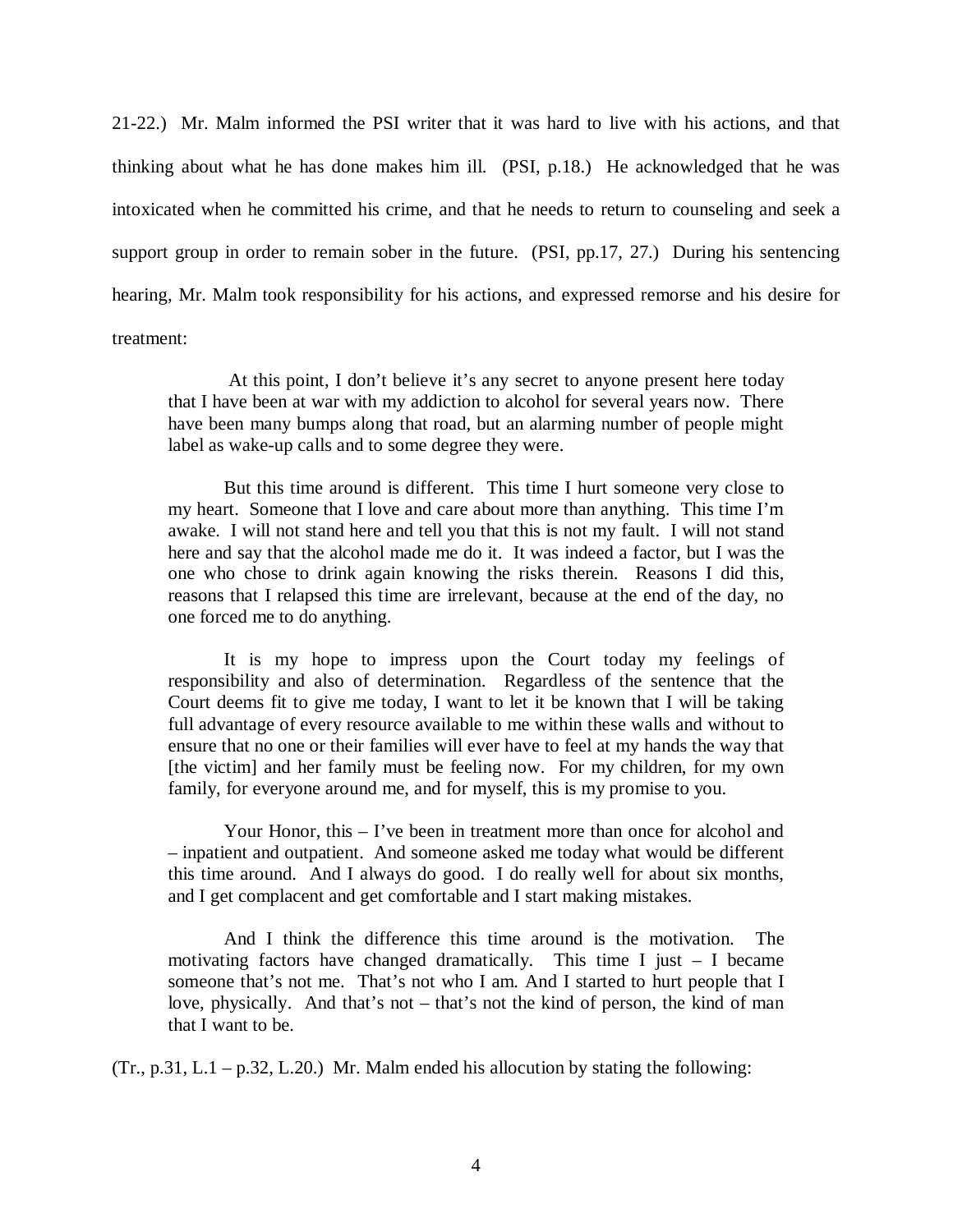21-22.) Mr. Malm informed the PSI writer that it was hard to live with his actions, and that thinking about what he has done makes him ill. (PSI, p.18.) He acknowledged that he was intoxicated when he committed his crime, and that he needs to return to counseling and seek a support group in order to remain sober in the future. (PSI, pp.17, 27.) During his sentencing hearing, Mr. Malm took responsibility for his actions, and expressed remorse and his desire for treatment:

 At this point, I don't believe it's any secret to anyone present here today that I have been at war with my addiction to alcohol for several years now. There have been many bumps along that road, but an alarming number of people might label as wake-up calls and to some degree they were.

But this time around is different. This time I hurt someone very close to my heart. Someone that I love and care about more than anything. This time I'm awake. I will not stand here and tell you that this is not my fault. I will not stand here and say that the alcohol made me do it. It was indeed a factor, but I was the one who chose to drink again knowing the risks therein. Reasons I did this, reasons that I relapsed this time are irrelevant, because at the end of the day, no one forced me to do anything.

It is my hope to impress upon the Court today my feelings of responsibility and also of determination. Regardless of the sentence that the Court deems fit to give me today, I want to let it be known that I will be taking full advantage of every resource available to me within these walls and without to ensure that no one or their families will ever have to feel at my hands the way that [the victim] and her family must be feeling now. For my children, for my own family, for everyone around me, and for myself, this is my promise to you.

Your Honor, this – I've been in treatment more than once for alcohol and – inpatient and outpatient. And someone asked me today what would be different this time around. And I always do good. I do really well for about six months, and I get complacent and get comfortable and I start making mistakes.

And I think the difference this time around is the motivation. The motivating factors have changed dramatically. This time I just  $-$  I became someone that's not me. That's not who I am. And I started to hurt people that I love, physically. And that's not – that's not the kind of person, the kind of man that I want to be.

 $(Tr., p.31, L.1 - p.32, L.20.)$  Mr. Malm ended his allocution by stating the following: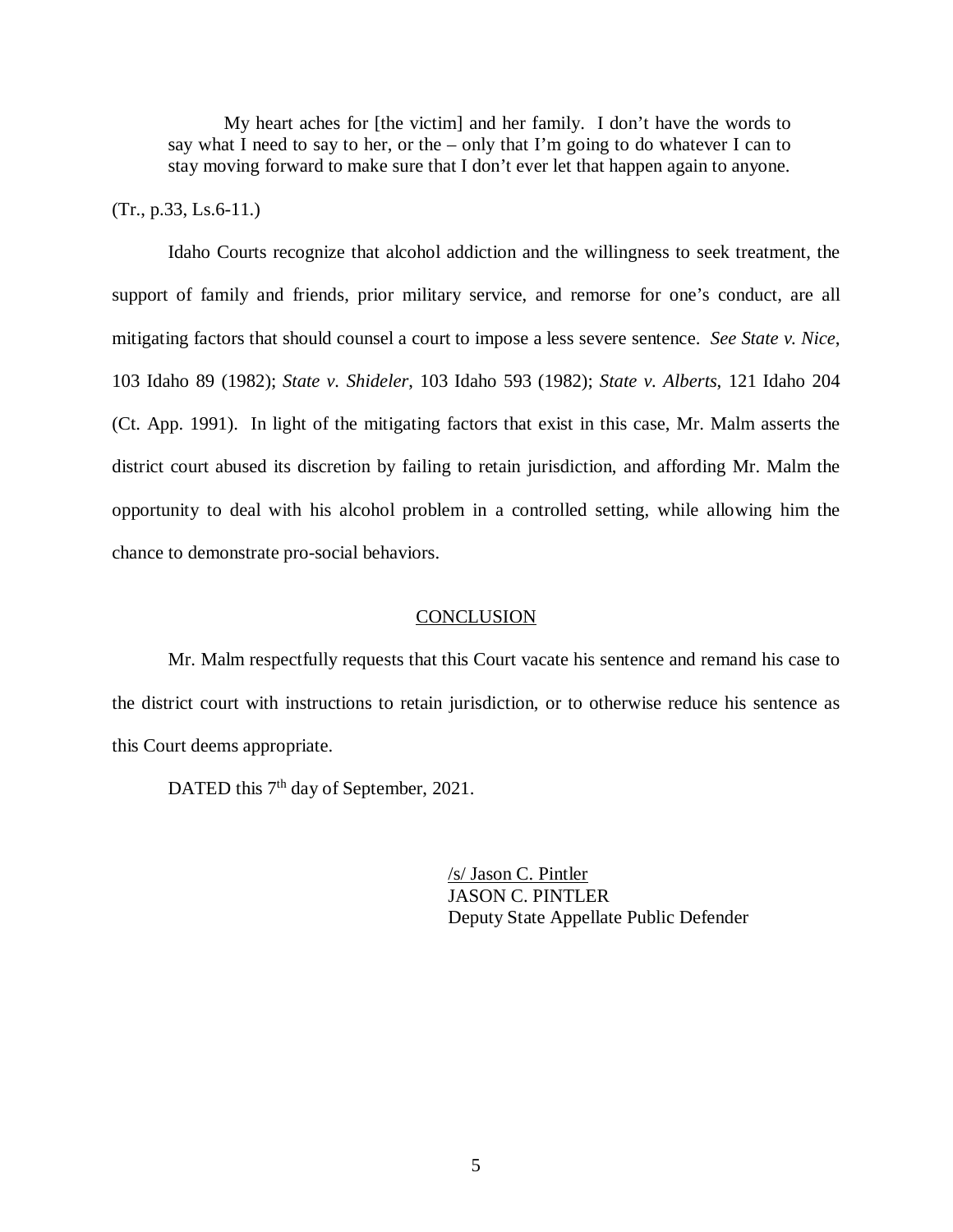My heart aches for [the victim] and her family. I don't have the words to say what I need to say to her, or the – only that I'm going to do whatever I can to stay moving forward to make sure that I don't ever let that happen again to anyone.

### $(Tr., p.33, Ls.6-11.)$

Idaho Courts recognize that alcohol addiction and the willingness to seek treatment, the support of family and friends, prior military service, and remorse for one's conduct, are all mitigating factors that should counsel a court to impose a less severe sentence. *See State v. Nice*, 103 Idaho 89 (1982); *State v. Shideler*, 103 Idaho 593 (1982); *State v. Alberts*, 121 Idaho 204 (Ct. App. 1991). In light of the mitigating factors that exist in this case, Mr. Malm asserts the district court abused its discretion by failing to retain jurisdiction, and affording Mr. Malm the opportunity to deal with his alcohol problem in a controlled setting, while allowing him the chance to demonstrate pro-social behaviors.

#### **CONCLUSION**

Mr. Malm respectfully requests that this Court vacate his sentence and remand his case to the district court with instructions to retain jurisdiction, or to otherwise reduce his sentence as this Court deems appropriate.

DATED this 7<sup>th</sup> day of September, 2021.

/s/ Jason C. Pintler JASON C. PINTLER Deputy State Appellate Public Defender